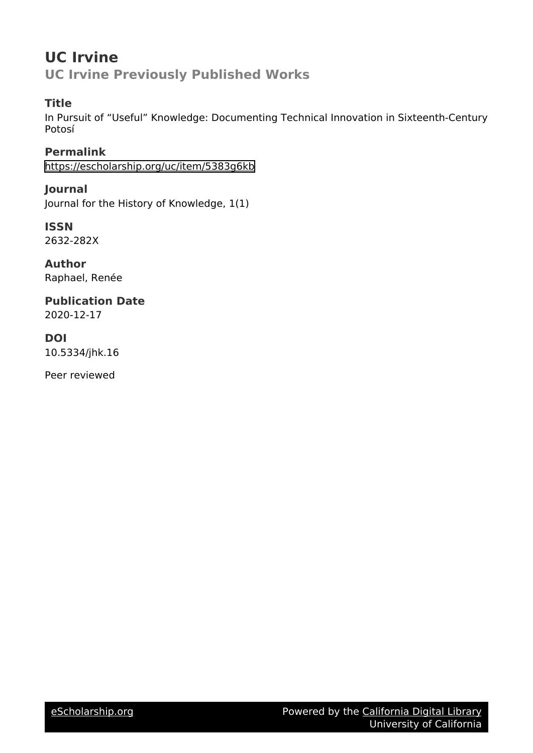## **UC Irvine UC Irvine Previously Published Works**

## **Title**

In Pursuit of "Useful" Knowledge: Documenting Technical Innovation in Sixteenth-Century Potosí

**Permalink** <https://escholarship.org/uc/item/5383g6kb>

**Journal** Journal for the History of Knowledge, 1(1)

**ISSN** 2632-282X

**Author** Raphael, Renée

**Publication Date** 2020-12-17

### **DOI** 10.5334/jhk.16

Peer reviewed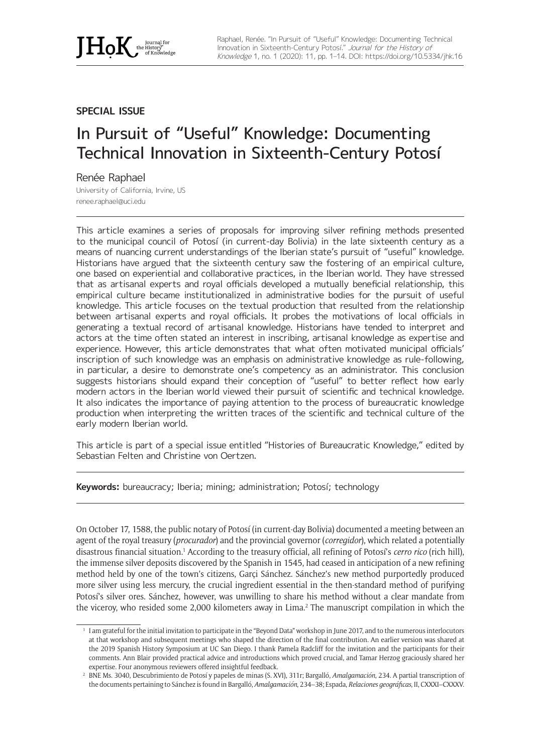

#### **SPECIAL ISSUE**

# In Pursuit of "Useful" Knowledge: Documenting Technical Innovation in Sixteenth-Century Potosí

#### Renée Raphael

University of California, Irvine, US [renee.raphael@uci.edu](mailto:renee.raphael@uci.edu)

This article examines a series of proposals for improving silver refining methods presented to the municipal council of Potosí (in current-day Bolivia) in the late sixteenth century as a means of nuancing current understandings of the Iberian state's pursuit of "useful" knowledge. Historians have argued that the sixteenth century saw the fostering of an empirical culture, one based on experiential and collaborative practices, in the Iberian world. They have stressed that as artisanal experts and royal officials developed a mutually beneficial relationship, this empirical culture became institutionalized in administrative bodies for the pursuit of useful knowledge. This article focuses on the textual production that resulted from the relationship between artisanal experts and royal officials. It probes the motivations of local officials in generating a textual record of artisanal knowledge. Historians have tended to interpret and actors at the time often stated an interest in inscribing, artisanal knowledge as expertise and experience. However, this article demonstrates that what often motivated municipal officials' inscription of such knowledge was an emphasis on administrative knowledge as rule-following, in particular, a desire to demonstrate one's competency as an administrator. This conclusion suggests historians should expand their conception of "useful" to better reflect how early modern actors in the Iberian world viewed their pursuit of scientific and technical knowledge. It also indicates the importance of paying attention to the process of bureaucratic knowledge production when interpreting the written traces of the scientific and technical culture of the early modern Iberian world.

This article is part of a special issue entitled "Histories of Bureaucratic Knowledge," edited by Sebastian Felten and Christine von Oertzen.

**Keywords:** bureaucracy; Iberia; mining; administration; Potosí; technology

On October 17, 1588, the public notary of Potosí (in current-day Bolivia) documented a meeting between an agent of the royal treasury (*procurador*) and the provincial governor (*corregidor*), which related a potentially disastrous financial situation.<sup>1</sup> According to the treasury official, all refining of Potosí's *cerro rico* (rich hill), the immense silver deposits discovered by the Spanish in 1545, had ceased in anticipation of a new refining method held by one of the town's citizens, Garçi Sánchez. Sánchez's new method purportedly produced more silver using less mercury, the crucial ingredient essential in the then-standard method of purifying Potosí's silver ores. Sánchez, however, was unwilling to share his method without a clear mandate from the viceroy, who resided some 2,000 kilometers away in Lima.<sup>2</sup> The manuscript compilation in which the

<sup>1</sup> I am grateful for the initial invitation to participate in the "Beyond Data" workshop in June 2017, and to the numerous interlocutors at that workshop and subsequent meetings who shaped the direction of the final contribution. An earlier version was shared at the 2019 Spanish History Symposium at UC San Diego. I thank Pamela Radcliff for the invitation and the participants for their comments. Ann Blair provided practical advice and introductions which proved crucial, and Tamar Herzog graciously shared her expertise. Four anonymous reviewers offered insightful feedback.

<sup>2</sup> BNE Ms. 3040, Descubrimiento de Potosí y papeles de minas (S. XVI), 311r; Bargalló, *Amalgamación*, 234. A partial transcription of the documents pertaining to Sánchez is found in Bargalló, *Amalgamación*, 234–38; Espada, *Relaciones geográficas*, II, CXXXI–CXXXV.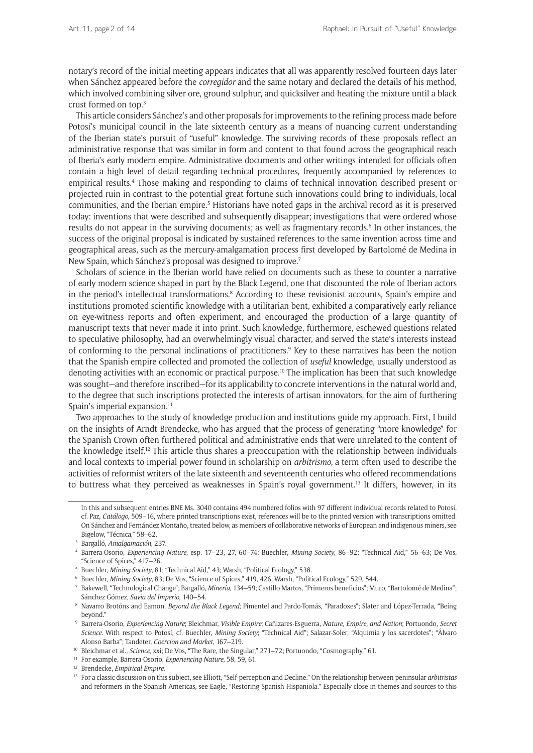notary's record of the initial meeting appears indicates that all was apparently resolved fourteen days later when Sánchez appeared before the *corregidor* and the same notary and declared the details of his method, which involved combining silver ore, ground sulphur, and quicksilver and heating the mixture until a black crust formed on top.3

This article considers Sánchez's and other proposals for improvements to the refining process made before Potosí's municipal council in the late sixteenth century as a means of nuancing current understanding of the Iberian state's pursuit of "useful" knowledge. The surviving records of these proposals reflect an administrative response that was similar in form and content to that found across the geographical reach of Iberia's early modern empire. Administrative documents and other writings intended for officials often contain a high level of detail regarding technical procedures, frequently accompanied by references to empirical results.4 Those making and responding to claims of technical innovation described present or projected ruin in contrast to the potential great fortune such innovations could bring to individuals, local communities, and the Iberian empire.<sup>5</sup> Historians have noted gaps in the archival record as it is preserved today: inventions that were described and subsequently disappear; investigations that were ordered whose results do not appear in the surviving documents; as well as fragmentary records.<sup>6</sup> In other instances, the success of the original proposal is indicated by sustained references to the same invention across time and geographical areas, such as the mercury-amalgamation process first developed by Bartolomé de Medina in New Spain, which Sánchez's proposal was designed to improve.7

Scholars of science in the Iberian world have relied on documents such as these to counter a narrative of early modern science shaped in part by the Black Legend, one that discounted the role of Iberian actors in the period's intellectual transformations.<sup>8</sup> According to these revisionist accounts, Spain's empire and institutions promoted scientific knowledge with a utilitarian bent, exhibited a comparatively early reliance on eye-witness reports and often experiment, and encouraged the production of a large quantity of manuscript texts that never made it into print. Such knowledge, furthermore, eschewed questions related to speculative philosophy, had an overwhelmingly visual character, and served the state's interests instead of conforming to the personal inclinations of practitioners.<sup>9</sup> Key to these narratives has been the notion that the Spanish empire collected and promoted the collection of *useful* knowledge, usually understood as denoting activities with an economic or practical purpose.<sup>10</sup> The implication has been that such knowledge was sought—and therefore inscribed—for its applicability to concrete interventions in the natural world and, to the degree that such inscriptions protected the interests of artisan innovators, for the aim of furthering Spain's imperial expansion.<sup>11</sup>

Two approaches to the study of knowledge production and institutions guide my approach. First, I build on the insights of Arndt Brendecke, who has argued that the process of generating "more knowledge" for the Spanish Crown often furthered political and administrative ends that were unrelated to the content of the knowledge itself.<sup>12</sup> This article thus shares a preoccupation with the relationship between individuals and local contexts to imperial power found in scholarship on *arbitrismo*, a term often used to describe the activities of reformist writers of the late sixteenth and seventeenth centuries who offered recommendations to buttress what they perceived as weaknesses in Spain's royal government.13 It differs, however, in its

In this and subsequent entries BNE Ms. 3040 contains 494 numbered folios with 97 different individual records related to Potosí, cf. Paz, *Catálogo*, 509–16, where printed transcriptions exist, references will be to the printed version with transcriptions omitted. On Sánchez and Fernández Montaño, treated below, as members of collaborative networks of European and indigenous miners, see Bigelow, "Técnica," 58–62.

<sup>3</sup> Bargalló, *Amalgamación*, 237. 4 Barrera-Osorio, *Experiencing Nature*, esp. 17–23, 27, 60–74; Buechler, *Mining Society*, 86–92; "Technical Aid," 56–63; De Vos, "Science of Spices," 417–26.

<sup>&</sup>lt;sup>5</sup> Buechler, *Mining Society*, 81; "Technical Aid," 43; Warsh, "Political Ecology," 538.<br><sup>6</sup> Buechler, *Mining Society*, 83; De Vos, "Science of Spices," 419, 426; Warsh, "Political Ecology," 529, 544.

<sup>7</sup> Bakewell, "Technological Change"; Bargalló, *Minería*, 134–59; Castillo Martos, "Primeros beneficios"; Muro, "Bartolomé de Medina"; Sánchez Gómez, *Savia del Imperio*, 140–54.

<sup>8</sup> Navarro Brotóns and Eamon, *Beyond the Black Legend*; Pimentel and Pardo-Tomás, "Paradoxes"; Slater and López-Terrada, "Being beyond."

<sup>9</sup> Barrera-Osorio, *Experiencing Nature*; Bleichmar, *Visible Empire*; Cañizares-Esguerra, *Nature, Empire, and Nation*; Portuondo, *Secret Science*. With respect to Potosí, cf. Buechler, *Mining Society*; "Technical Aid"; Salazar-Soler, "Alquimia y los sacerdotes"; "Álvaro Alonso Barba"; Tandeter, *Coercion and Market*, 167–219. 10 Bleichmar et al., *Science*, xxi; De Vos, "The Rare, the Singular," 271–72; Portuondo, "Cosmography," 61.

<sup>11</sup> For example, Barrera-Osorio, *Experiencing Nature*, 58, 59, 61. 12 Brendecke, *Empirical Empire*.

<sup>13</sup> For a classic discussion on this subject, see Elliott, "Self-perception and Decline." On the relationship between peninsular *arbitristas* and reformers in the Spanish Americas, see Eagle, "Restoring Spanish Hispaniola." Especially close in themes and sources to this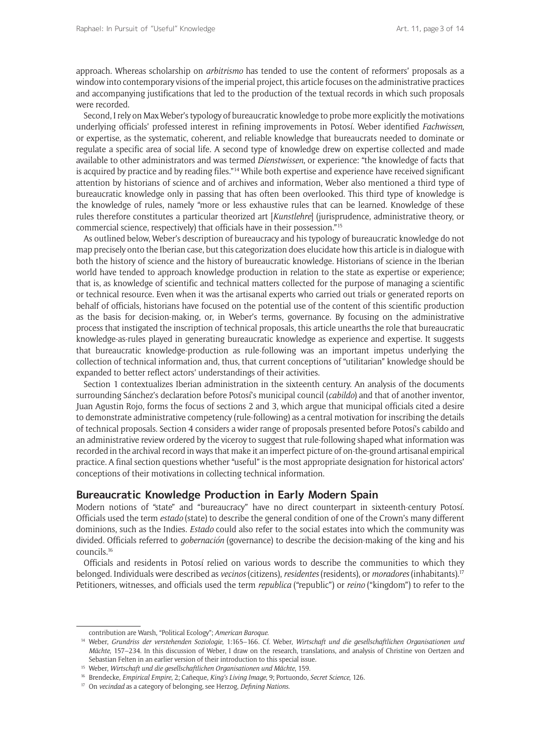approach. Whereas scholarship on *arbitrismo* has tended to use the content of reformers' proposals as a window into contemporary visions of the imperial project, this article focuses on the administrative practices and accompanying justifications that led to the production of the textual records in which such proposals were recorded.

Second, I rely on Max Weber's typology of bureaucratic knowledge to probe more explicitly the motivations underlying officials' professed interest in refining improvements in Potosí. Weber identified *Fachwissen*, or expertise, as the systematic, coherent, and reliable knowledge that bureaucrats needed to dominate or regulate a specific area of social life. A second type of knowledge drew on expertise collected and made available to other administrators and was termed *Dienstwissen*, or experience: "the knowledge of facts that is acquired by practice and by reading files."<sup>14</sup> While both expertise and experience have received significant attention by historians of science and of archives and information, Weber also mentioned a third type of bureaucratic knowledge only in passing that has often been overlooked. This third type of knowledge is the knowledge of rules, namely "more or less exhaustive rules that can be learned. Knowledge of these rules therefore constitutes a particular theorized art [*Kunstlehre*] (jurisprudence, administrative theory, or commercial science, respectively) that officials have in their possession."15

As outlined below, Weber's description of bureaucracy and his typology of bureaucratic knowledge do not map precisely onto the Iberian case, but this categorization does elucidate how this article is in dialogue with both the history of science and the history of bureaucratic knowledge. Historians of science in the Iberian world have tended to approach knowledge production in relation to the state as expertise or experience; that is, as knowledge of scientific and technical matters collected for the purpose of managing a scientific or technical resource. Even when it was the artisanal experts who carried out trials or generated reports on behalf of officials, historians have focused on the potential use of the content of this scientific production as the basis for decision-making, or, in Weber's terms, governance. By focusing on the administrative process that instigated the inscription of technical proposals, this article unearths the role that bureaucratic knowledge-as-rules played in generating bureaucratic knowledge as experience and expertise. It suggests that bureaucratic knowledge-production as rule-following was an important impetus underlying the collection of technical information and, thus, that current conceptions of "utilitarian" knowledge should be expanded to better reflect actors' understandings of their activities.

Section 1 contextualizes Iberian administration in the sixteenth century. An analysis of the documents surrounding Sánchez's declaration before Potosí's municipal council (*cabildo*) and that of another inventor, Juan Agustin Rojo, forms the focus of sections 2 and 3, which argue that municipal officials cited a desire to demonstrate administrative competency (rule-following) as a central motivation for inscribing the details of technical proposals. Section 4 considers a wider range of proposals presented before Potosí's cabildo and an administrative review ordered by the viceroy to suggest that rule-following shaped what information was recorded in the archival record in ways that make it an imperfect picture of on-the-ground artisanal empirical practice. A final section questions whether "useful" is the most appropriate designation for historical actors' conceptions of their motivations in collecting technical information.

#### **Bureaucratic Knowledge Production in Early Modern Spain**

Modern notions of "state" and "bureaucracy" have no direct counterpart in sixteenth-century Potosí. Officials used the term *estado* (state) to describe the general condition of one of the Crown's many different dominions, such as the Indies. *Estado* could also refer to the social estates into which the community was divided. Officials referred to *gobernación* (governance) to describe the decision-making of the king and his councils.16

Officials and residents in Potosí relied on various words to describe the communities to which they belonged. Individuals were described as *vecinos* (citizens), *residentes* (residents), or *moradores* (inhabitants).17 Petitioners, witnesses, and officials used the term *republica* ("republic") or *reino* ("kingdom") to refer to the

contribution are Warsh, "Political Ecology"; *American Baroque*. 14 Weber, *Grundriss der verstehenden Soziologie*, 1:165–166. Cf. Weber, *Wirtschaft und die gesellschaftlichen Organisationen und Mächte*, 157–234. In this discussion of Weber, I draw on the research, translations, and analysis of Christine von Oertzen and Sebastian Felten in an earlier version of their introduction to this special issue.

<sup>15</sup> Weber, *Wirtschaft und die gesellschaftlichen Organisationen und Mächte*, 159.

<sup>16</sup> Brendecke, *Empirical Empire*, 2; Cañeque, *King's Living Image*, 9; Portuondo, *Secret Science*, 126.

<sup>17</sup> On *vecindad* as a category of belonging, see Herzog, *Defining Nations*.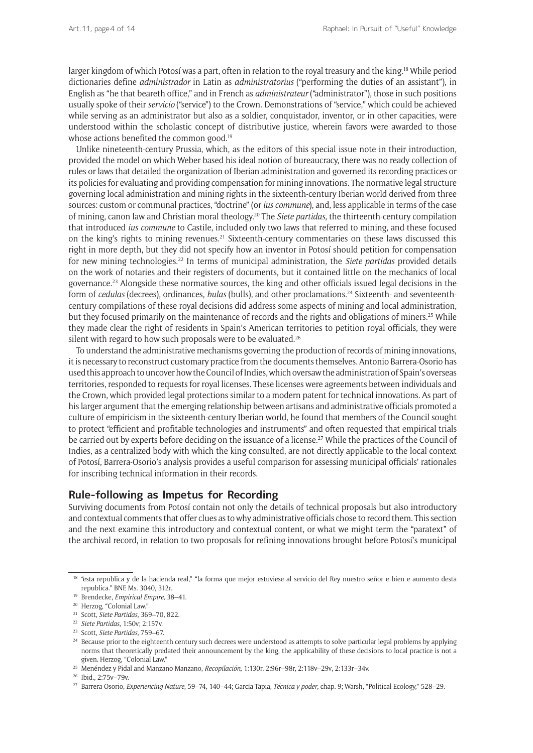larger kingdom of which Potosí was a part, often in relation to the royal treasury and the king.18 While period dictionaries define *administrador* in Latin as *administratorius* ("performing the duties of an assistant"), in English as "he that beareth office," and in French as *administrateur* ("administrator"), those in such positions usually spoke of their *servicio* ("service") to the Crown. Demonstrations of "service," which could be achieved while serving as an administrator but also as a soldier, conquistador, inventor, or in other capacities, were understood within the scholastic concept of distributive justice, wherein favors were awarded to those whose actions benefited the common good.<sup>19</sup>

Unlike nineteenth-century Prussia, which, as the editors of this special issue note in their introduction, provided the model on which Weber based his ideal notion of bureaucracy, there was no ready collection of rules or laws that detailed the organization of Iberian administration and governed its recording practices or its policies for evaluating and providing compensation for mining innovations. The normative legal structure governing local administration and mining rights in the sixteenth-century Iberian world derived from three sources: custom or communal practices, "doctrine" (or *ius commune*), and, less applicable in terms of the case of mining, canon law and Christian moral theology.20 The *Siete partidas*, the thirteenth-century compilation that introduced *ius commune* to Castile, included only two laws that referred to mining, and these focused on the king's rights to mining revenues.<sup>21</sup> Sixteenth-century commentaries on these laws discussed this right in more depth, but they did not specify how an inventor in Potosí should petition for compensation for new mining technologies.22 In terms of municipal administration, the *Siete partidas* provided details on the work of notaries and their registers of documents, but it contained little on the mechanics of local governance.23 Alongside these normative sources, the king and other officials issued legal decisions in the form of *cedulas* (decrees), ordinances, *bulas* (bulls), and other proclamations.24 Sixteenth- and seventeenthcentury compilations of these royal decisions did address some aspects of mining and local administration, but they focused primarily on the maintenance of records and the rights and obligations of miners.<sup>25</sup> While they made clear the right of residents in Spain's American territories to petition royal officials, they were silent with regard to how such proposals were to be evaluated.<sup>26</sup>

To understand the administrative mechanisms governing the production of records of mining innovations, it is necessary to reconstruct customary practice from the documents themselves. Antonio Barrera-Osorio has used this approach to uncover how the Council of Indies, which oversaw the administration of Spain's overseas territories, responded to requests for royal licenses. These licenses were agreements between individuals and the Crown, which provided legal protections similar to a modern patent for technical innovations. As part of his larger argument that the emerging relationship between artisans and administrative officials promoted a culture of empiricism in the sixteenth-century Iberian world, he found that members of the Council sought to protect "efficient and profitable technologies and instruments" and often requested that empirical trials be carried out by experts before deciding on the issuance of a license.<sup>27</sup> While the practices of the Council of Indies, as a centralized body with which the king consulted, are not directly applicable to the local context of Potosí, Barrera-Osorio's analysis provides a useful comparison for assessing municipal officials' rationales for inscribing technical information in their records.

#### **Rule-following as Impetus for Recording**

Surviving documents from Potosí contain not only the details of technical proposals but also introductory and contextual comments that offer clues as to why administrative officials chose to record them. This section and the next examine this introductory and contextual content, or what we might term the "paratext" of the archival record, in relation to two proposals for refining innovations brought before Potosí's municipal

<sup>&</sup>lt;sup>18</sup> "esta republica y de la hacienda real," "la forma que mejor estuviese al servicio del Rey nuestro señor e bien e aumento desta republica." BNE Ms. 3040, 312r.

<sup>19</sup> Brendecke, *Empirical Empire*, 38–41.

<sup>20</sup> Herzog, "Colonial Law."

<sup>21</sup> Scott, *Siete Partidas*, 369–70, 822.

<sup>22</sup> *Siete Partidas*, 1:50v; 2:157v.

<sup>&</sup>lt;sup>23</sup> Scott, *Siete Partidas*, 759–67.<br><sup>24</sup> Because prior to the eighteenth century such decrees were understood as attempts to solve particular legal problems by applying norms that theoretically predated their announcement by the king, the applicability of these decisions to local practice is not a given. Herzog, "Colonial Law."

<sup>25</sup> Menéndez y Pidal and Manzano Manzano, *Recopilación*, 1:130r, 2:96r–98r, 2:118v–29v, 2:133r–34v. 26 Ibid., 2:75v–79v.

<sup>27</sup> Barrera-Osorio, *Experiencing Nature*, 59–74, 140–44; García Tapia, *Técnica y poder*, chap. 9; Warsh, "Political Ecology," 528–29.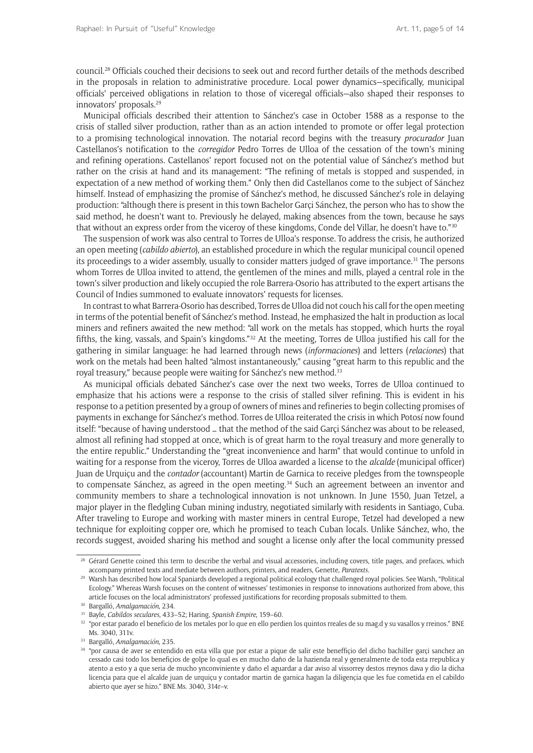council.28 Officials couched their decisions to seek out and record further details of the methods described in the proposals in relation to administrative procedure. Local power dynamics—specifically, municipal officials' perceived obligations in relation to those of viceregal officials—also shaped their responses to innovators' proposals.29

Municipal officials described their attention to Sánchez's case in October 1588 as a response to the crisis of stalled silver production, rather than as an action intended to promote or offer legal protection to a promising technological innovation. The notarial record begins with the treasury *procurador* Juan Castellanos's notification to the *corregidor* Pedro Torres de Ulloa of the cessation of the town's mining and refining operations. Castellanos' report focused not on the potential value of Sánchez's method but rather on the crisis at hand and its management: "The refining of metals is stopped and suspended, in expectation of a new method of working them." Only then did Castellanos come to the subject of Sánchez himself. Instead of emphasizing the promise of Sánchez's method, he discussed Sánchez's role in delaying production: "although there is present in this town Bachelor Garçi Sánchez, the person who has to show the said method, he doesn't want to. Previously he delayed, making absences from the town, because he says that without an express order from the viceroy of these kingdoms, Conde del Villar, he doesn't have to."<sup>30</sup>

The suspension of work was also central to Torres de Ulloa's response. To address the crisis, he authorized an open meeting (*cabildo abierto*), an established procedure in which the regular municipal council opened its proceedings to a wider assembly, usually to consider matters judged of grave importance.<sup>31</sup> The persons whom Torres de Ulloa invited to attend, the gentlemen of the mines and mills, played a central role in the town's silver production and likely occupied the role Barrera-Osorio has attributed to the expert artisans the Council of Indies summoned to evaluate innovators' requests for licenses.

In contrast to what Barrera-Osorio has described, Torres de Ulloa did not couch his call for the open meeting in terms of the potential benefit of Sánchez's method. Instead, he emphasized the halt in production as local miners and refiners awaited the new method: "all work on the metals has stopped, which hurts the royal fifths, the king, vassals, and Spain's kingdoms."32 At the meeting, Torres de Ulloa justified his call for the gathering in similar language: he had learned through news (*informaciones*) and letters (*relaciones*) that work on the metals had been halted "almost instantaneously," causing "great harm to this republic and the royal treasury," because people were waiting for Sánchez's new method.<sup>33</sup>

As municipal officials debated Sánchez's case over the next two weeks, Torres de Ulloa continued to emphasize that his actions were a response to the crisis of stalled silver refining. This is evident in his response to a petition presented by a group of owners of mines and refineries to begin collecting promises of payments in exchange for Sánchez's method. Torres de Ulloa reiterated the crisis in which Potosí now found itself: "because of having understood … that the method of the said Garçi Sánchez was about to be released, almost all refining had stopped at once, which is of great harm to the royal treasury and more generally to the entire republic." Understanding the "great inconvenience and harm" that would continue to unfold in waiting for a response from the viceroy, Torres de Ulloa awarded a license to the *alcalde* (municipal officer) Juan de Urquiçu and the *contador* (accountant) Martin de Garnica to receive pledges from the townspeople to compensate Sánchez, as agreed in the open meeting.<sup>34</sup> Such an agreement between an inventor and community members to share a technological innovation is not unknown. In June 1550, Juan Tetzel, a major player in the fledgling Cuban mining industry, negotiated similarly with residents in Santiago, Cuba. After traveling to Europe and working with master miners in central Europe, Tetzel had developed a new technique for exploiting copper ore, which he promised to teach Cuban locals. Unlike Sánchez, who, the records suggest, avoided sharing his method and sought a license only after the local community pressed

<sup>&</sup>lt;sup>28</sup> Gérard Genette coined this term to describe the verbal and visual accessories, including covers, title pages, and prefaces, which accompany printed texts and mediate between authors, printers, and readers, Genette, *Paratexts*.

<sup>&</sup>lt;sup>29</sup> Warsh has described how local Spaniards developed a regional political ecology that challenged royal policies. See Warsh, "Political Ecology." Whereas Warsh focuses on the content of witnesses' testimonies in response to innovations authorized from above, this article focuses on the local administrators' professed justifications for recording proposals submitted to them.

<sup>30</sup> Bargalló, *Amalgamación*, 234.

<sup>31</sup> Bayle, *Cabildos seculares*, 433–52; Haring, *Spanish Empire*, 159–60.

<sup>32</sup> "por estar parado el beneficio de los metales por lo que en ello perdien los quintos rreales de su mag.d y su vasallos y rreinos." BNE Ms. 3040, 311v.

<sup>33</sup> Bargalló, *Amalgamación*, 235.

<sup>34</sup> "por causa de aver se entendido en esta villa que por estar a pique de salir este beneffiçio del dicho bachiller garçi sanchez an cessado casi todo los benefiçios de golpe lo qual es en mucho daño de la hazienda real y generalmente de toda esta rrepublica y atento a esto y a que seria de mucho ynconviniente y daño el aguardar a dar aviso al vissorrey destos rreynos dava y dio la dicha licençia para que el alcalde juan de urquiçu y contador martin de garnica hagan la diligençia que les fue cometida en el cabildo abierto que ayer se hizo." BNE Ms. 3040, 314r–v.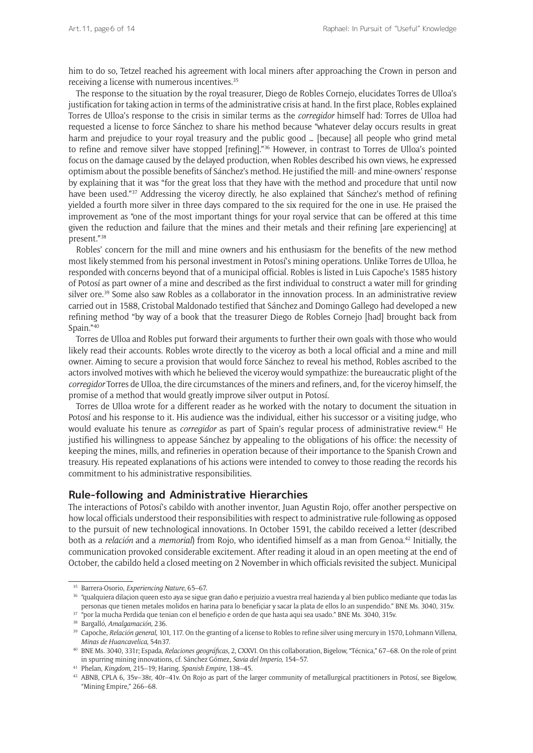him to do so, Tetzel reached his agreement with local miners after approaching the Crown in person and receiving a license with numerous incentives.<sup>35</sup>

The response to the situation by the royal treasurer, Diego de Robles Cornejo, elucidates Torres de Ulloa's justification for taking action in terms of the administrative crisis at hand. In the first place, Robles explained Torres de Ulloa's response to the crisis in similar terms as the *corregidor* himself had: Torres de Ulloa had requested a license to force Sánchez to share his method because "whatever delay occurs results in great harm and prejudice to your royal treasury and the public good ... [because] all people who grind metal to refine and remove silver have stopped [refining]."<sup>36</sup> However, in contrast to Torres de Ulloa's pointed focus on the damage caused by the delayed production, when Robles described his own views, he expressed optimism about the possible benefits of Sánchez's method. He justified the mill- and mine-owners' response by explaining that it was "for the great loss that they have with the method and procedure that until now have been used."<sup>37</sup> Addressing the viceroy directly, he also explained that Sánchez's method of refining yielded a fourth more silver in three days compared to the six required for the one in use. He praised the improvement as "one of the most important things for your royal service that can be offered at this time given the reduction and failure that the mines and their metals and their refining [are experiencing] at present."38

Robles' concern for the mill and mine owners and his enthusiasm for the benefits of the new method most likely stemmed from his personal investment in Potosí's mining operations. Unlike Torres de Ulloa, he responded with concerns beyond that of a municipal official. Robles is listed in Luis Capoche's 1585 history of Potosí as part owner of a mine and described as the first individual to construct a water mill for grinding silver ore.<sup>39</sup> Some also saw Robles as a collaborator in the innovation process. In an administrative review carried out in 1588, Cristobal Maldonado testified that Sánchez and Domingo Gallego had developed a new refining method "by way of a book that the treasurer Diego de Robles Cornejo [had] brought back from Spain."40

Torres de Ulloa and Robles put forward their arguments to further their own goals with those who would likely read their accounts. Robles wrote directly to the viceroy as both a local official and a mine and mill owner. Aiming to secure a provision that would force Sánchez to reveal his method, Robles ascribed to the actors involved motives with which he believed the viceroy would sympathize: the bureaucratic plight of the *corregidor* Torres de Ulloa, the dire circumstances of the miners and refiners, and, for the viceroy himself, the promise of a method that would greatly improve silver output in Potosí.

Torres de Ulloa wrote for a different reader as he worked with the notary to document the situation in Potosí and his response to it. His audience was the individual, either his successor or a visiting judge, who would evaluate his tenure as *corregidor* as part of Spain's regular process of administrative review.41 He justified his willingness to appease Sánchez by appealing to the obligations of his office: the necessity of keeping the mines, mills, and refineries in operation because of their importance to the Spanish Crown and treasury. His repeated explanations of his actions were intended to convey to those reading the records his commitment to his administrative responsibilities.

#### **Rule-following and Administrative Hierarchies**

The interactions of Potosí's cabildo with another inventor, Juan Agustin Rojo, offer another perspective on how local officials understood their responsibilities with respect to administrative rule-following as opposed to the pursuit of new technological innovations. In October 1591, the cabildo received a letter (described both as a *relación* and a *memorial*) from Rojo, who identified himself as a man from Genoa.42 Initially, the communication provoked considerable excitement. After reading it aloud in an open meeting at the end of October, the cabildo held a closed meeting on 2 November in which officials revisited the subject. Municipal

<sup>35</sup> Barrera-Osorio, *Experiencing Nature*, 65–67.

<sup>&</sup>lt;sup>36</sup> "qualquiera dilaçion queen esto aya se sigue gran daño e perjuizio a vuestra rreal hazienda y al bien publico mediante que todas las personas que tienen metales molidos en harina para lo benefiçiar y sacar la plata de ellos lo an suspendido." BNE Ms. 3040, 315v.

<sup>37</sup> "por la mucha Perdida que tenian con el benefiçio e orden de que hasta aqui sea usado." BNE Ms. 3040, 315v.

<sup>38</sup> Bargalló, *Amalgamación*, 236.

<sup>39</sup> Capoche, *Relación general*, 101, 117. On the granting of a license to Robles to refine silver using mercury in 1570, Lohmann Villena, *Minas de Huancavelica*, 54n37. 40 BNE Ms. 3040, 331r; Espada, *Relaciones geográficas*, 2, CXXVI. On this collaboration, Bigelow, "Técnica," 67–68. On the role of print

in spurring mining innovations, cf. Sánchez Gómez, *Savia del Imperio*, 154–57.

<sup>&</sup>lt;sup>41</sup> Phelan, *Kingdom*, 215–19; Haring, *Spanish Empire*, 138–45. 43. 445. 42 ABNB, CPLA 6, 35v–38r, 40r–41v. On Rojo as part of the larger community of metallurgical practitioners in Potosí, see Bigelow, "Mining Empire," 266–68.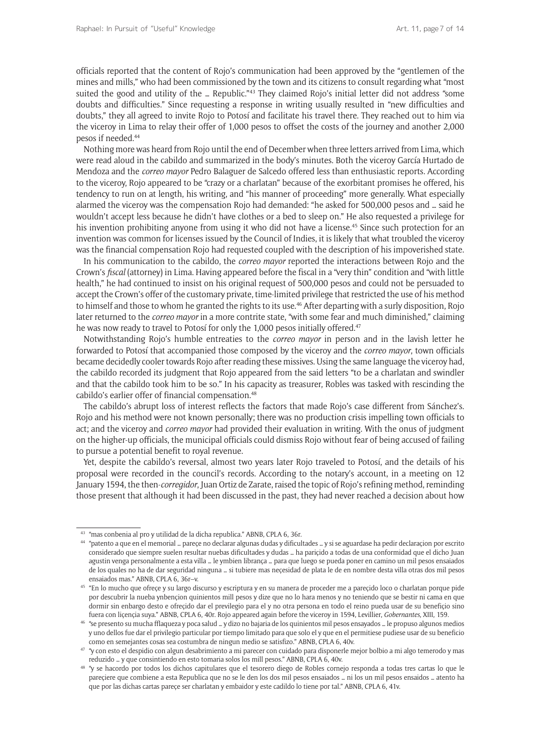officials reported that the content of Rojo's communication had been approved by the "gentlemen of the mines and mills," who had been commissioned by the town and its citizens to consult regarding what "most suited the good and utility of the … Republic."43 They claimed Rojo's initial letter did not address "some doubts and difficulties." Since requesting a response in writing usually resulted in "new difficulties and doubts," they all agreed to invite Rojo to Potosí and facilitate his travel there. They reached out to him via the viceroy in Lima to relay their offer of 1,000 pesos to offset the costs of the journey and another 2,000 pesos if needed.44

Nothing more was heard from Rojo until the end of December when three letters arrived from Lima, which were read aloud in the cabildo and summarized in the body's minutes. Both the viceroy García Hurtado de Mendoza and the *correo mayor* Pedro Balaguer de Salcedo offered less than enthusiastic reports. According to the viceroy, Rojo appeared to be "crazy or a charlatan" because of the exorbitant promises he offered, his tendency to run on at length, his writing, and "his manner of proceeding" more generally. What especially alarmed the viceroy was the compensation Rojo had demanded: "he asked for 500,000 pesos and … said he wouldn't accept less because he didn't have clothes or a bed to sleep on." He also requested a privilege for his invention prohibiting anyone from using it who did not have a license.<sup>45</sup> Since such protection for an invention was common for licenses issued by the Council of Indies, it is likely that what troubled the viceroy was the financial compensation Rojo had requested coupled with the description of his impoverished state.

In his communication to the cabildo, the *correo mayor* reported the interactions between Rojo and the Crown's *fiscal* (attorney) in Lima. Having appeared before the fiscal in a "very thin" condition and "with little health," he had continued to insist on his original request of 500,000 pesos and could not be persuaded to accept the Crown's offer of the customary private, time-limited privilege that restricted the use of his method to himself and those to whom he granted the rights to its use.<sup>46</sup> After departing with a surly disposition, Rojo later returned to the *correo mayor* in a more contrite state, "with some fear and much diminished," claiming he was now ready to travel to Potosí for only the 1,000 pesos initially offered.<sup>47</sup>

Notwithstanding Rojo's humble entreaties to the *correo mayor* in person and in the lavish letter he forwarded to Potosí that accompanied those composed by the viceroy and the *correo mayor*, town officials became decidedly cooler towards Rojo after reading these missives. Using the same language the viceroy had, the cabildo recorded its judgment that Rojo appeared from the said letters "to be a charlatan and swindler and that the cabildo took him to be so." In his capacity as treasurer, Robles was tasked with rescinding the cabildo's earlier offer of financial compensation.<sup>48</sup>

The cabildo's abrupt loss of interest reflects the factors that made Rojo's case different from Sánchez's. Rojo and his method were not known personally; there was no production crisis impelling town officials to act; and the viceroy and *correo mayor* had provided their evaluation in writing. With the onus of judgment on the higher-up officials, the municipal officials could dismiss Rojo without fear of being accused of failing to pursue a potential benefit to royal revenue.

Yet, despite the cabildo's reversal, almost two years later Rojo traveled to Potosí, and the details of his proposal were recorded in the council's records. According to the notary's account, in a meeting on 12 January 1594, the then-*corregidor*, Juan Ortiz de Zarate, raised the topic of Rojo's refining method, reminding those present that although it had been discussed in the past, they had never reached a decision about how

 $43$  "mas conbenia al pro y utilidad de la dicha republica." ABNB, CPLA 6, 36r.  $44$  "patento a que en el memorial … pareçe no declarar algunas dudas y dificultades … y si se aguardase ha pedir declaraçion por escrito considerado que siempre suelen resultar nuebas dificultades y dudas … ha pariçido a todas de una conformidad que el dicho Juan agustin venga personalmente a esta villa … le ymbien librança … para que luego se pueda poner en camino un mil pesos ensaiados de los quales no ha de dar seguridad ninguna … si tubiere mas neçesidad de plata le de en nombre desta villa otras dos mil pesos ensaiados mas." ABNB, CPLA 6, 36r–v.

<sup>&</sup>lt;sup>45</sup> "En lo mucho que ofreçe y su largo discurso y escriptura y en su manera de proceder me a pareçido loco o charlatan porque pide por descubrir la nueba ynbençion quinientos mill pesos y dize que no lo hara menos y no teniendo que se bestir ni cama en que dormir sin enbargo desto e ofreçido dar el previlegio para el y no otra persona en todo el reino pueda usar de su benefiçio sino fuera con liçençia suya." ABNB, CPLA 6, 40r. Rojo appeared again before the viceroy in 1594, Levillier, *Gobernantes*, XIII, 159.

<sup>46</sup> "se presento su mucha fflaqueza y poca salud … y dizo no bajaria de los quinientos mil pesos ensayados … le propuso algunos medios y uno dellos fue dar el privilegio particular por tiempo limitado para que solo el y que en el permitiese pudiese usar de su beneficio como en semejantes cosas sea costumbra de ningun medio se satisfizo." ABNB, CPLA 6, 40v.

<sup>47</sup> "y con esto el despidio con algun desabrimiento a mi parecer con cuidado para disponerle mejor bolbio a mi algo temerodo y mas reduzido … y que consintiendo en esto tomaria solos los mill pesos." ABNB, CPLA 6, 40v.

<sup>48</sup> "y se hacordo por todos los dichos capitulares que el tesorero diego de Robles cornejo responda a todas tres cartas lo que le pareçiere que combiene a esta Republica que no se le den los dos mil pesos ensaiados … ni los un mil pesos ensaidos … atento ha que por las dichas cartas pareçe ser charlatan y embaidor y este cadildo lo tiene por tal." ABNB, CPLA 6, 41v.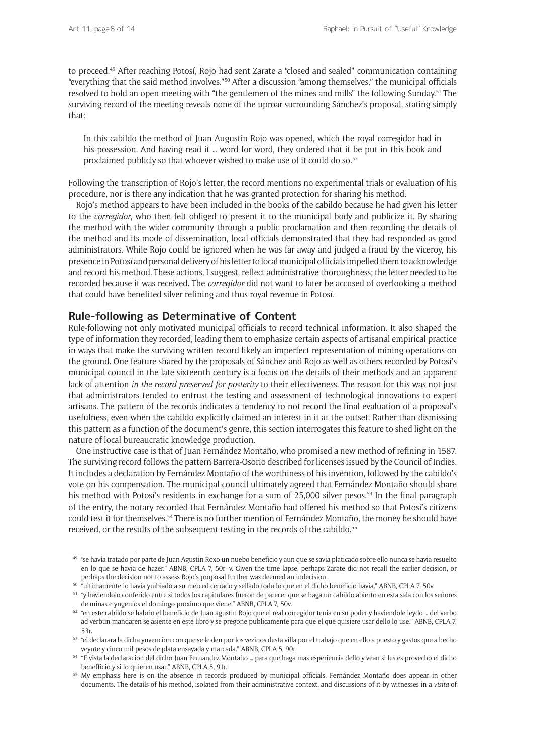to proceed.49 After reaching Potosí, Rojo had sent Zarate a "closed and sealed" communication containing "everything that the said method involves."50 After a discussion "among themselves," the municipal officials resolved to hold an open meeting with "the gentlemen of the mines and mills" the following Sunday.51 The surviving record of the meeting reveals none of the uproar surrounding Sánchez's proposal, stating simply that:

In this cabildo the method of Juan Augustin Rojo was opened, which the royal corregidor had in his possession. And having read it … word for word, they ordered that it be put in this book and proclaimed publicly so that whoever wished to make use of it could do so.<sup>52</sup>

Following the transcription of Rojo's letter, the record mentions no experimental trials or evaluation of his procedure, nor is there any indication that he was granted protection for sharing his method.

Rojo's method appears to have been included in the books of the cabildo because he had given his letter to the *corregidor*, who then felt obliged to present it to the municipal body and publicize it. By sharing the method with the wider community through a public proclamation and then recording the details of the method and its mode of dissemination, local officials demonstrated that they had responded as good administrators. While Rojo could be ignored when he was far away and judged a fraud by the viceroy, his presence in Potosí and personal delivery of his letter to local municipal officials impelled them to acknowledge and record his method. These actions, I suggest, reflect administrative thoroughness; the letter needed to be recorded because it was received. The *corregidor* did not want to later be accused of overlooking a method that could have benefited silver refining and thus royal revenue in Potosí.

#### **Rule-following as Determinative of Content**

Rule-following not only motivated municipal officials to record technical information. It also shaped the type of information they recorded, leading them to emphasize certain aspects of artisanal empirical practice in ways that make the surviving written record likely an imperfect representation of mining operations on the ground. One feature shared by the proposals of Sánchez and Rojo as well as others recorded by Potosí's municipal council in the late sixteenth century is a focus on the details of their methods and an apparent lack of attention *in the record preserved for posterity* to their effectiveness. The reason for this was not just that administrators tended to entrust the testing and assessment of technological innovations to expert artisans. The pattern of the records indicates a tendency to not record the final evaluation of a proposal's usefulness, even when the cabildo explicitly claimed an interest in it at the outset. Rather than dismissing this pattern as a function of the document's genre, this section interrogates this feature to shed light on the nature of local bureaucratic knowledge production.

One instructive case is that of Juan Fernández Montaño, who promised a new method of refining in 1587. The surviving record follows the pattern Barrera-Osorio described for licenses issued by the Council of Indies. It includes a declaration by Fernández Montaño of the worthiness of his invention, followed by the cabildo's vote on his compensation. The municipal council ultimately agreed that Fernández Montaño should share his method with Potosí's residents in exchange for a sum of 25,000 silver pesos.<sup>53</sup> In the final paragraph of the entry, the notary recorded that Fernández Montaño had offered his method so that Potosí's citizens could test it for themselves.54 There is no further mention of Fernández Montaño, the money he should have received, or the results of the subsequent testing in the records of the cabildo.<sup>55</sup>

<sup>49</sup> "se havia tratado por parte de Juan Agustin Roxo un nuebo beneficio y aun que se savia platicado sobre ello nunca se havia resuelto en lo que se havia de hazer." ABNB, CPLA 7, 50r–v. Given the time lapse, perhaps Zarate did not recall the earlier decision, or perhaps the decision not to assess Rojo's proposal further was deemed an indecision.

<sup>&</sup>lt;sup>50</sup> "ultimamente lo havia ymbiado a su merced cerrado y sellado todo lo que en el dicho beneficio havia." ABNB, CPLA 7, 50v.

<sup>51</sup> "y haviendolo conferido entre si todos los capitulares fueron de parecer que se haga un cabildo abierto en esta sala con los señores de minas e yngenios el domingo proximo que viene." ABNB, CPLA 7, 50v.

<sup>52</sup> "en este cabildo se habrio el beneficio de Juan agustin Rojo que el real corregidor tenia en su poder y haviendole leydo … del verbo ad verbun mandaren se asiente en este libro y se pregone publicamente para que el que quisiere usar dello lo use." ABNB, CPLA 7, 53r.

<sup>53</sup> "el declarara la dicha ynvencion con que se le den por los vezinos desta villa por el trabajo que en ello a puesto y gastos que a hecho veynte y cinco mil pesos de plata ensayada y marcada." ABNB, CPLA 5, 90r.

<sup>54</sup> "E vista la declaracion del dicho Juan Fernandez Montaño … para que haga mas esperiencia dello y vean si les es provecho el dicho benefficio y si lo quieren usar." ABNB, CPLA 5, 91r.

<sup>55</sup> My emphasis here is on the absence in records produced by municipal officials. Fernández Montaño does appear in other documents. The details of his method, isolated from their administrative context, and discussions of it by witnesses in a *visita* of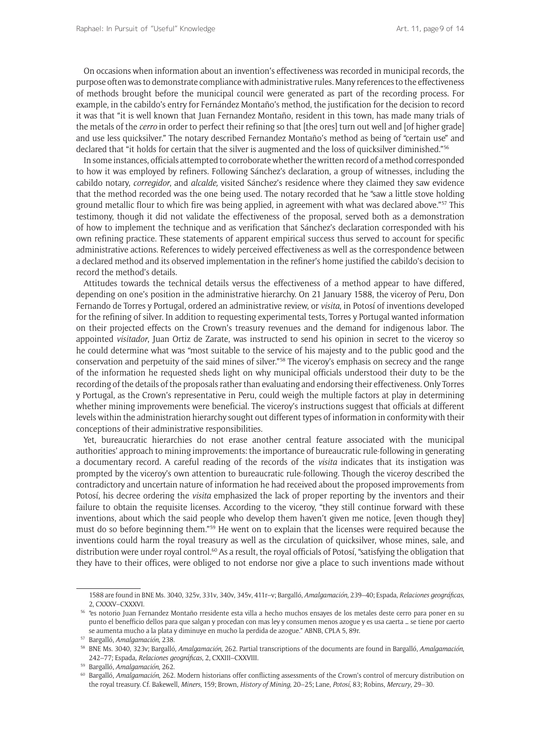On occasions when information about an invention's effectiveness was recorded in municipal records, the purpose often was to demonstrate compliance with administrative rules. Many references to the effectiveness of methods brought before the municipal council were generated as part of the recording process. For example, in the cabildo's entry for Fernández Montaño's method, the justification for the decision to record it was that "it is well known that Juan Fernandez Montaño, resident in this town, has made many trials of the metals of the *cerro* in order to perfect their refining so that [the ores] turn out well and [of higher grade] and use less quicksilver." The notary described Fernandez Montaño's method as being of "certain use" and declared that "it holds for certain that the silver is augmented and the loss of quicksilver diminished."56

In some instances, officials attempted to corroborate whether the written record of a method corresponded to how it was employed by refiners. Following Sánchez's declaration, a group of witnesses, including the cabildo notary, *corregidor*, and *alcalde,* visited Sánchez's residence where they claimed they saw evidence that the method recorded was the one being used. The notary recorded that he "saw a little stove holding ground metallic flour to which fire was being applied, in agreement with what was declared above."57 This testimony, though it did not validate the effectiveness of the proposal, served both as a demonstration of how to implement the technique and as verification that Sánchez's declaration corresponded with his own refining practice. These statements of apparent empirical success thus served to account for specific administrative actions. References to widely perceived effectiveness as well as the correspondence between a declared method and its observed implementation in the refiner's home justified the cabildo's decision to record the method's details.

Attitudes towards the technical details versus the effectiveness of a method appear to have differed, depending on one's position in the administrative hierarchy. On 21 January 1588, the viceroy of Peru, Don Fernando de Torres y Portugal, ordered an administrative review, or *visita*, in Potosí of inventions developed for the refining of silver. In addition to requesting experimental tests, Torres y Portugal wanted information on their projected effects on the Crown's treasury revenues and the demand for indigenous labor. The appointed *visitador*, Juan Ortiz de Zarate, was instructed to send his opinion in secret to the viceroy so he could determine what was "most suitable to the service of his majesty and to the public good and the conservation and perpetuity of the said mines of silver."<sup>58</sup> The viceroy's emphasis on secrecy and the range of the information he requested sheds light on why municipal officials understood their duty to be the recording of the details of the proposals rather than evaluating and endorsing their effectiveness. Only Torres y Portugal, as the Crown's representative in Peru, could weigh the multiple factors at play in determining whether mining improvements were beneficial. The viceroy's instructions suggest that officials at different levels within the administration hierarchy sought out different types of information in conformity with their conceptions of their administrative responsibilities.

Yet, bureaucratic hierarchies do not erase another central feature associated with the municipal authorities' approach to mining improvements: the importance of bureaucratic rule-following in generating a documentary record. A careful reading of the records of the *visita* indicates that its instigation was prompted by the viceroy's own attention to bureaucratic rule-following. Though the viceroy described the contradictory and uncertain nature of information he had received about the proposed improvements from Potosí, his decree ordering the *visita* emphasized the lack of proper reporting by the inventors and their failure to obtain the requisite licenses. According to the viceroy, "they still continue forward with these inventions, about which the said people who develop them haven't given me notice, [even though they] must do so before beginning them."59 He went on to explain that the licenses were required because the inventions could harm the royal treasury as well as the circulation of quicksilver, whose mines, sale, and distribution were under royal control.<sup>60</sup> As a result, the royal officials of Potosí, "satisfying the obligation that they have to their offices, were obliged to not endorse nor give a place to such inventions made without

<sup>1588</sup> are found in BNE Ms. 3040, 325v, 331v, 340v, 345v, 411r–v; Bargalló, *Amalgamación*, 239–40; Espada, *Relaciones geográficas*, 2, CXXXV–CXXXVI.

<sup>56</sup> "es notorio Juan Fernandez Montaño rresidente esta villa a hecho muchos ensayes de los metales deste cerro para poner en su punto el benefficio dellos para que salgan y procedan con mas ley y consumen menos azogue y es usa caerta … se tiene por caerto se aumenta mucho a la plata y diminuye en mucho la perdida de azogue." ABNB, CPLA 5, 89r.

<sup>57</sup> Bargalló, *Amalgamación*, 238.

<sup>58</sup> BNE Ms. 3040, 323v; Bargalló, *Amalgamación*, 262. Partial transcriptions of the documents are found in Bargalló, *Amalgamación*, 242–77; Espada, *Relaciones geográficas*, 2, CXXIII–CXXVIII.

<sup>59</sup> Bargalló, *Amalgamación*, 262.

<sup>60</sup> Bargalló, *Amalgamación*, 262. Modern historians offer conflicting assessments of the Crown's control of mercury distribution on the royal treasury. Cf. Bakewell, *Miners*, 159; Brown, *History of Mining*, 20–25; Lane, *Potosí*, 83; Robins, *Mercury*, 29–30.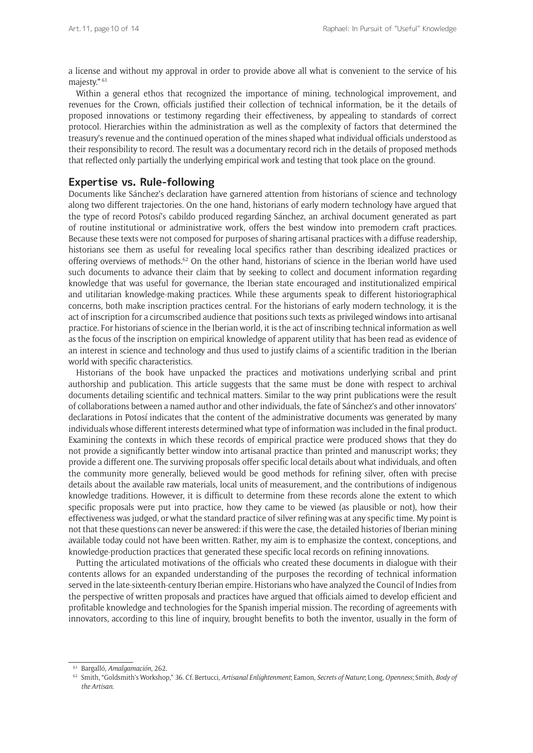a license and without my approval in order to provide above all what is convenient to the service of his majesty." <sup>61</sup>

Within a general ethos that recognized the importance of mining, technological improvement, and revenues for the Crown, officials justified their collection of technical information, be it the details of proposed innovations or testimony regarding their effectiveness, by appealing to standards of correct protocol. Hierarchies within the administration as well as the complexity of factors that determined the treasury's revenue and the continued operation of the mines shaped what individual officials understood as their responsibility to record. The result was a documentary record rich in the details of proposed methods that reflected only partially the underlying empirical work and testing that took place on the ground.

#### **Expertise vs. Rule-following**

Documents like Sánchez's declaration have garnered attention from historians of science and technology along two different trajectories. On the one hand, historians of early modern technology have argued that the type of record Potosí's cabildo produced regarding Sánchez, an archival document generated as part of routine institutional or administrative work, offers the best window into premodern craft practices. Because these texts were not composed for purposes of sharing artisanal practices with a diffuse readership, historians see them as useful for revealing local specifics rather than describing idealized practices or offering overviews of methods.62 On the other hand, historians of science in the Iberian world have used such documents to advance their claim that by seeking to collect and document information regarding knowledge that was useful for governance, the Iberian state encouraged and institutionalized empirical and utilitarian knowledge-making practices. While these arguments speak to different historiographical concerns, both make inscription practices central. For the historians of early modern technology, it is the act of inscription for a circumscribed audience that positions such texts as privileged windows into artisanal practice. For historians of science in the Iberian world, it is the act of inscribing technical information as well as the focus of the inscription on empirical knowledge of apparent utility that has been read as evidence of an interest in science and technology and thus used to justify claims of a scientific tradition in the Iberian world with specific characteristics.

Historians of the book have unpacked the practices and motivations underlying scribal and print authorship and publication. This article suggests that the same must be done with respect to archival documents detailing scientific and technical matters. Similar to the way print publications were the result of collaborations between a named author and other individuals, the fate of Sánchez's and other innovators' declarations in Potosí indicates that the content of the administrative documents was generated by many individuals whose different interests determined what type of information was included in the final product. Examining the contexts in which these records of empirical practice were produced shows that they do not provide a significantly better window into artisanal practice than printed and manuscript works; they provide a different one. The surviving proposals offer specific local details about what individuals, and often the community more generally, believed would be good methods for refining silver, often with precise details about the available raw materials, local units of measurement, and the contributions of indigenous knowledge traditions. However, it is difficult to determine from these records alone the extent to which specific proposals were put into practice, how they came to be viewed (as plausible or not), how their effectiveness was judged, or what the standard practice of silver refining was at any specific time. My point is not that these questions can never be answered: if this were the case, the detailed histories of Iberian mining available today could not have been written. Rather, my aim is to emphasize the context, conceptions, and knowledge-production practices that generated these specific local records on refining innovations.

Putting the articulated motivations of the officials who created these documents in dialogue with their contents allows for an expanded understanding of the purposes the recording of technical information served in the late-sixteenth-century Iberian empire. Historians who have analyzed the Council of Indies from the perspective of written proposals and practices have argued that officials aimed to develop efficient and profitable knowledge and technologies for the Spanish imperial mission. The recording of agreements with innovators, according to this line of inquiry, brought benefits to both the inventor, usually in the form of

<sup>61</sup> Bargalló, *Amalgamación*, 262.

<sup>62</sup> Smith, "Goldsmith's Workshop," 36. Cf. Bertucci, *Artisanal Enlightenment*; Eamon, *Secrets of Nature*; Long, *Openness*; Smith, *Body of the Artisan*.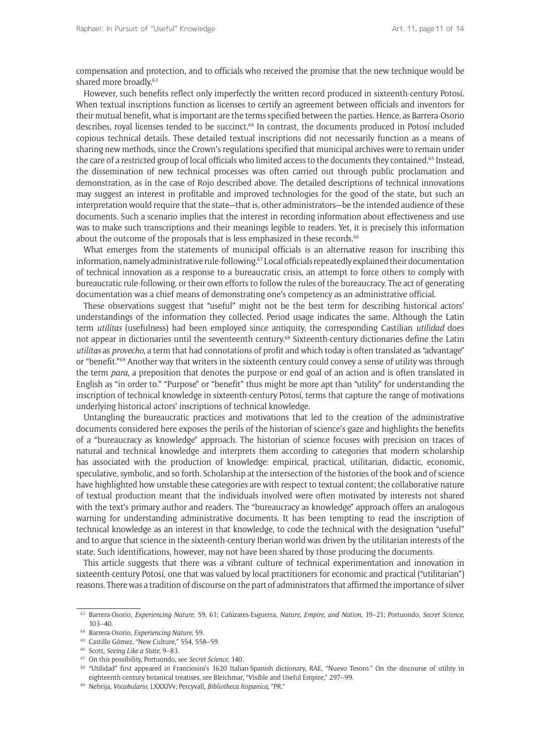compensation and protection, and to officials who received the promise that the new technique would be shared more broadly.<sup>63</sup>

However, such benefits reflect only imperfectly the written record produced in sixteenth-century Potosí. When textual inscriptions function as licenses to certify an agreement between officials and inventors for their mutual benefit, what is important are the terms specified between the parties. Hence, as Barrera-Osorio describes, royal licenses tended to be succinct.<sup>64</sup> In contrast, the documents produced in Potosí included copious technical details. These detailed textual inscriptions did not necessarily function as a means of sharing new methods, since the Crown's regulations specified that municipal archives were to remain under the care of a restricted group of local officials who limited access to the documents they contained.<sup>65</sup> Instead, the dissemination of new technical processes was often carried out through public proclamation and demonstration, as in the case of Rojo described above. The detailed descriptions of technical innovations may suggest an interest in profitable and improved technologies for the good of the state, but such an interpretation would require that the state—that is, other administrators—be the intended audience of these documents. Such a scenario implies that the interest in recording information about effectiveness and use was to make such transcriptions and their meanings legible to readers. Yet, it is precisely this information about the outcome of the proposals that is less emphasized in these records.<sup>66</sup>

What emerges from the statements of municipal officials is an alternative reason for inscribing this information, namely administrative rule-following.67 Local officials repeatedly explained their documentation of technical innovation as a response to a bureaucratic crisis, an attempt to force others to comply with bureaucratic rule-following, or their own efforts to follow the rules of the bureaucracy. The act of generating documentation was a chief means of demonstrating one's competency as an administrative official.

These observations suggest that "useful" might not be the best term for describing historical actors' understandings of the information they collected. Period usage indicates the same. Although the Latin term *utilitas* (usefulness) had been employed since antiquity, the corresponding Castilian *utilidad* does not appear in dictionaries until the seventeenth century.<sup>68</sup> Sixteenth-century dictionaries define the Latin *utilitas* as *provecho*, a term that had connotations of profit and which today is often translated as "advantage" or "benefit."69 Another way that writers in the sixteenth century could convey a sense of utility was through the term *para*, a preposition that denotes the purpose or end goal of an action and is often translated in English as "in order to." "Purpose" or "benefit" thus might be more apt than "utility" for understanding the inscription of technical knowledge in sixteenth-century Potosí, terms that capture the range of motivations underlying historical actors' inscriptions of technical knowledge.

Untangling the bureaucratic practices and motivations that led to the creation of the administrative documents considered here exposes the perils of the historian of science's gaze and highlights the benefits of a "bureaucracy as knowledge" approach. The historian of science focuses with precision on traces of natural and technical knowledge and interprets them according to categories that modern scholarship has associated with the production of knowledge: empirical, practical, utilitarian, didactic, economic, speculative, symbolic, and so forth. Scholarship at the intersection of the histories of the book and of science have highlighted how unstable these categories are with respect to textual content; the collaborative nature of textual production meant that the individuals involved were often motivated by interests not shared with the text's primary author and readers. The "bureaucracy as knowledge" approach offers an analogous warning for understanding administrative documents. It has been tempting to read the inscription of technical knowledge as an interest in that knowledge, to code the technical with the designation "useful" and to argue that science in the sixteenth-century Iberian world was driven by the utilitarian interests of the state. Such identifications, however, may not have been shared by those producing the documents.

This article suggests that there was a vibrant culture of technical experimentation and innovation in sixteenth-century Potosí, one that was valued by local practitioners for economic and practical ("utilitarian") reasons. There was a tradition of discourse on the part of administrators that affirmed the importance of silver

<sup>63</sup> Barrera-Osorio, *Experiencing Nature*, 59, 61; Cañizares-Esguerra, *Nature, Empire, and Nation*, 19–21; Portuondo, *Secret Science*, 103–40. 64 Barrera-Osorio, *Experiencing Nature*, 59.

<sup>65</sup> Castillo Gómez, "New Culture," 554, 558–59. 66 Scott, *Seeing Like a State*, 9–83.

<sup>67</sup> On this possibility, Portuondo, see *Secret Science*, 140.

<sup>68</sup> "Utilidad" first appeared in Franciosini's 1620 Italian-Spanish dictionary, RAE, "Nuevo Tesoro." On the discourse of utility in eighteenth-century botanical treatises, see Bleichmar, "Visible and Useful Empire," 297–99. 69 Nebrija, *Vocabulario*, LXXXIVv; Percyvall, *Bibliotheca hispanica*, "PR."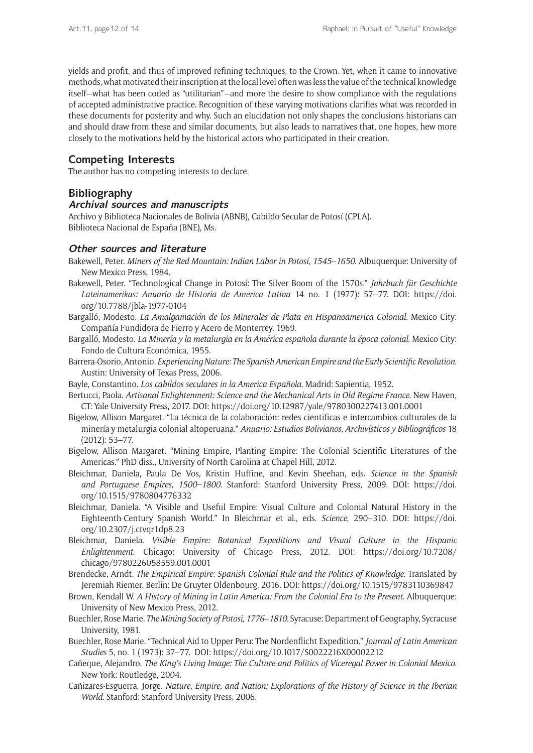yields and profit, and thus of improved refining techniques, to the Crown. Yet, when it came to innovative methods, what motivated their inscription at the local level often was less the value of the technical knowledge itself—what has been coded as "utilitarian"—and more the desire to show compliance with the regulations of accepted administrative practice. Recognition of these varying motivations clarifies what was recorded in these documents for posterity and why. Such an elucidation not only shapes the conclusions historians can and should draw from these and similar documents, but also leads to narratives that, one hopes, hew more closely to the motivations held by the historical actors who participated in their creation.

#### **Competing Interests**

The author has no competing interests to declare.

#### **Bibliography**

#### **Archival sources and manuscripts**

Archivo y Biblioteca Nacionales de Bolivia (ABNB), Cabildo Secular de Potosí (CPLA). Biblioteca Nacional de España (BNE), Ms.

#### **Other sources and literature**

- Bakewell, Peter. *Miners of the Red Mountain: Indian Labor in Potosí, 1545*–*1650*. Albuquerque: University of New Mexico Press, 1984.
- Bakewell, Peter. "Technological Change in Potosí: The Silver Boom of the 1570s." *Jahrbuch für Geschichte Lateinamerikas: Anuario de Historia de America Latina* 14 no. 1 (1977): 57–77. DOI: [https://doi.](https://doi.org/10.7788/jbla-1977-0104) [org/10.7788/jbla-1977-0104](https://doi.org/10.7788/jbla-1977-0104)
- Bargalló, Modesto. *La Amalgamación de los Minerales de Plata en Hispanoamerica Colonial*. Mexico City: Compañía Fundidora de Fierro y Acero de Monterrey, 1969.
- Bargalló, Modesto. *La Minería y la metalurgia en la América española durante la época colonial*. Mexico City: Fondo de Cultura Económica, 1955.
- Barrera-Osorio, Antonio. *Experiencing Nature: The Spanish American Empire and the Early Scientific Revolution*. Austin: University of Texas Press, 2006.
- Bayle, Constantino. *Los cabildos seculares in la America Española*. Madrid: Sapientia, 1952.
- Bertucci, Paola. *Artisanal Enlightenment: Science and the Mechanical Arts in Old Regime France*. New Haven, CT: Yale University Press, 2017. DOI:<https://doi.org/10.12987/yale/9780300227413.001.0001>
- Bigelow, Allison Margaret. "La técnica de la colaboración: redes cientificas e intercambios culturales de la minería y metalurgia colonial altoperuana." *Anuario: Estudios Bolivianos, Archivísticos y Bibliográficos* 18 (2012): 53–77.
- Bigelow, Allison Margaret. "Mining Empire, Planting Empire: The Colonial Scientific Literatures of the Americas." PhD diss., University of North Carolina at Chapel Hill, 2012.
- Bleichmar, Daniela, Paula De Vos, Kristin Huffine, and Kevin Sheehan, eds. *Science in the Spanish and Portuguese Empires, 1500–1800*. Stanford: Stanford University Press, 2009. DOI: [https://doi.](https://doi.org/10.1515/9780804776332) [org/10.1515/9780804776332](https://doi.org/10.1515/9780804776332)
- Bleichmar, Daniela. "A Visible and Useful Empire: Visual Culture and Colonial Natural History in the Eighteenth-Century Spanish World." In Bleichmar et al., eds. *Science*, 290–310. DOI: [https://doi.](https://doi.org/10.2307/j.ctvqr1dp8.23) [org/10.2307/j.ctvqr1dp8.23](https://doi.org/10.2307/j.ctvqr1dp8.23)
- Bleichmar, Daniela. *Visible Empire: Botanical Expeditions and Visual Culture in the Hispanic Enlightenment*. Chicago: University of Chicago Press, 2012. DOI: [https://doi.org/10.7208/](https://doi.org/10.7208/chicago/9780226058559.001.0001) [chicago/9780226058559.001.0001](https://doi.org/10.7208/chicago/9780226058559.001.0001)
- Brendecke, Arndt. *The Empirical Empire: Spanish Colonial Rule and the Politics of Knowledge*. Translated by Jeremiah Riemer. Berlin: De Gruyter Oldenbourg, 2016. DOI:<https://doi.org/10.1515/9783110369847>
- Brown, Kendall W. *A History of Mining in Latin America: From the Colonial Era to the Present*. Albuquerque: University of New Mexico Press, 2012.
- Buechler, Rose Marie. *The Mining Society of Potosi, 1776*–*1810*. Syracuse: Department of Geography, Sycracuse University, 1981.
- Buechler, Rose Marie. "Technical Aid to Upper Peru: The Nordenflicht Expedition." *Journal of Latin American Studies* 5, no. 1 (1973): 37–77. DOI:<https://doi.org/10.1017/S0022216X00002212>
- Cañeque, Alejandro. *The King's Living Image: The Culture and Politics of Viceregal Power in Colonial Mexico*. New York: Routledge, 2004.
- Cañizares-Esguerra, Jorge. *Nature, Empire, and Nation: Explorations of the History of Science in the Iberian World*. Stanford: Stanford University Press, 2006.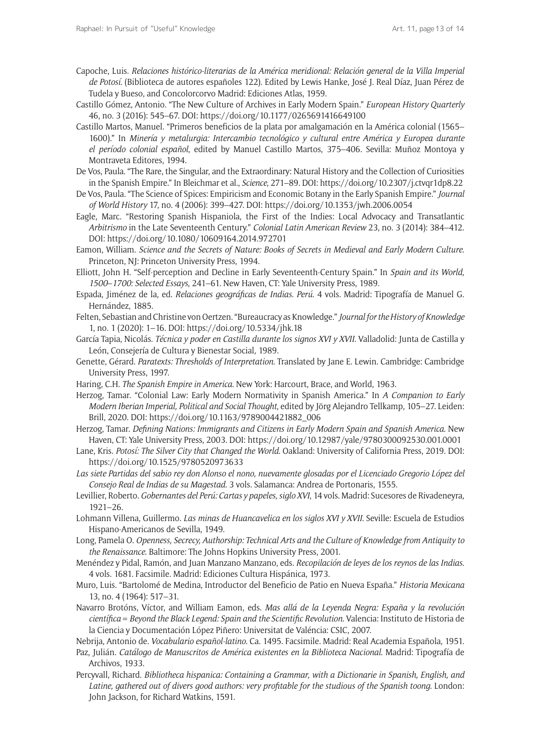- Capoche, Luis. *Relaciones histórico-literarias de la América meridional: Relación general de la Villa Imperial de Potosí.* (Biblioteca de autores españoles 122). Edited by Lewis Hanke, José J. Real Díaz, Juan Pérez de Tudela y Bueso, and Concolorcorvo Madrid: Ediciones Atlas, 1959.
- Castillo Gómez, Antonio. "The New Culture of Archives in Early Modern Spain." *European History Quarterly* 46, no. 3 (2016): 545–67. DOI: <https://doi.org/10.1177/0265691416649100>
- Castillo Martos, Manuel. "Primeros beneficios de la plata por amalgamación en la América colonial (1565– 1600)." In *Minería y metalurgia: Intercambio tecnológico y cultural entre América y Europea durante el período colonial español*, edited by Manuel Castillo Martos, 375–406. Sevilla: Muñoz Montoya y Montraveta Editores, 1994.
- De Vos, Paula. "The Rare, the Singular, and the Extraordinary: Natural History and the Collection of Curiosities in the Spanish Empire." In Bleichmar et al., *Science*, 271–89. DOI: <https://doi.org/10.2307/j.ctvqr1dp8.22>
- De Vos, Paula. "The Science of Spices: Empiricism and Economic Botany in the Early Spanish Empire." *Journal of World History* 17, no. 4 (2006): 399–427. DOI: <https://doi.org/10.1353/jwh.2006.0054>
- Eagle, Marc. "Restoring Spanish Hispaniola, the First of the Indies: Local Advocacy and Transatlantic *Arbitrismo* in the Late Seventeenth Century." *Colonial Latin American Review* 23, no. 3 (2014): 384–412. DOI: <https://doi.org/10.1080/10609164.2014.972701>
- Eamon, William. *Science and the Secrets of Nature: Books of Secrets in Medieval and Early Modern Culture*. Princeton, NJ: Princeton University Press, 1994.
- Elliott, John H. "Self-perception and Decline in Early Seventeenth-Century Spain." In *Spain and its World, 1500*–*1700: Selected Essays*, 241–61. New Haven, CT: Yale University Press, 1989.
- Espada, Jiménez de la, ed. *Relaciones geográficas de Indias. Perú*. 4 vols. Madrid: Tipografía de Manuel G. Hernández, 1885.
- Felten, Sebastian and Christine von Oertzen. "Bureaucracy as Knowledge." *Journal for the History of Knowledge* 1, no. 1 (2020): 1–16. DOI: <https://doi.org/10.5334/jhk.18>
- García Tapia, Nicolás. *Técnica y poder en Castilla durante los signos XVI y XVII*. Valladolid: Junta de Castilla y León, Consejería de Cultura y Bienestar Social, 1989.
- Genette, Gérard. *Paratexts: Thresholds of Interpretation*. Translated by Jane E. Lewin. Cambridge: Cambridge University Press, 1997.
- Haring, C.H. *The Spanish Empire in America*. New York: Harcourt, Brace, and World, 1963.
- Herzog, Tamar. "Colonial Law: Early Modern Normativity in Spanish America." In *A Companion to Early Modern Iberian Imperial, Political and Social Thought*, edited by Jörg Alejandro Tellkamp, 105–27. Leiden: Brill, 2020. DOI: [https://doi.org/10.1163/9789004421882\\_006](https://doi.org/10.1163/9789004421882_006)
- Herzog, Tamar. *Defining Nations: Immigrants and Citizens in Early Modern Spain and Spanish America*. New Haven, CT: Yale University Press, 2003. DOI: <https://doi.org/10.12987/yale/9780300092530.001.0001>
- Lane, Kris. *Potosí: The Silver City that Changed the World*. Oakland: University of California Press, 2019. DOI: <https://doi.org/10.1525/9780520973633>
- *Las siete Partidas del sabio rey don Alonso el nono, nuevamente glosadas por el Licenciado Gregorio López del Consejo Real de Indias de su Magestad*. 3 vols. Salamanca: Andrea de Portonaris, 1555.
- Levillier, Roberto. *Gobernantes del Perú: Cartas y papeles, siglo XVI*, 14 vols. Madrid: Sucesores de Rivadeneyra, 1921–26.
- Lohmann Villena, Guillermo. *Las minas de Huancavelica en los siglos XVI y XVII*. Seville: Escuela de Estudios Hispano-Americanos de Sevilla, 1949.
- Long, Pamela O. *Openness, Secrecy, Authorship: Technical Arts and the Culture of Knowledge from Antiquity to the Renaissance*. Baltimore: The Johns Hopkins University Press, 2001.
- Menéndez y Pidal, Ramón, and Juan Manzano Manzano, eds. *Recopilación de leyes de los reynos de las Indias*. 4 vols. 1681. Facsimile. Madrid: Ediciones Cultura Hispánica, 1973.
- Muro, Luis. "Bartolomé de Medina, Introductor del Beneficio de Patio en Nueva España." *Historia Mexicana*  13, no. 4 (1964): 517–31.
- Navarro Brotóns, Víctor, and William Eamon, eds. *Mas allá de la Leyenda Negra: España y la revolución científica = Beyond the Black Legend: Spain and the Scientific Revolution*. Valencia: Instituto de Historia de la Ciencia y Documentación López Piñero: Universitat de Valéncia: CSIC, 2007.
- Nebrija, Antonio de. *Vocabulario español-latino*. Ca. 1495. Facsimile. Madrid: Real Academia Española, 1951.
- Paz, Julián. *Catálogo de Manuscritos de América existentes en la Biblioteca Nacional*. Madrid: Tipografía de Archivos, 1933.
- Percyvall, Richard. *Bibliotheca hispanica: Containing a Grammar, with a Dictionarie in Spanish, English, and Latine, gathered out of divers good authors: very profitable for the studious of the Spanish toong*. London: John Jackson, for Richard Watkins, 1591.